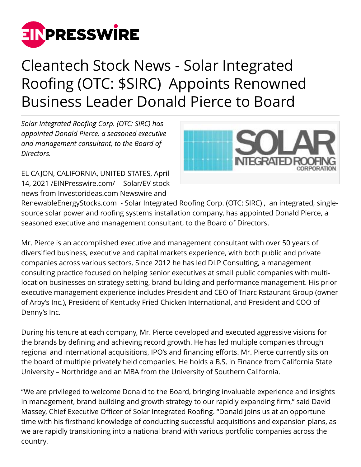

## Cleantech Stock News - Solar Integrated Roofing (OTC: \$SIRC) Appoints Renowned Business Leader Donald Pierce to Board

*Solar Integrated Roofing Corp. (OTC: SIRC) has appointed Donald Pierce, a seasoned executive and management consultant, to the Board of Directors.*

EL CA JON, CALIFORNIA, UNITED STATES, April 14, 2021 /[EINPresswire.com/](http://www.einpresswire.com) -- Solar/EV stock news from Investorideas.com Newswire and



RenewableEnergyStocks.com - Solar Integrated Roofing Corp. (OTC: SIRC) , an integrated, singlesource solar power and roofing systems installation company, has appointed Donald Pierce, a seasoned executive and management consultant, to the Board of Directors.

Mr. Pierce is an accomplished executive and management consultant with over 50 years of diversified business, executive and capital markets experience, with both public and private companies across various sectors. Since 2012 he has led DLP Consulting, a management consulting practice focused on helping senior executives at small public companies with multilocation businesses on strategy setting, brand building and performance management. His prior executive management experience includes President and CEO of Triarc Rstaurant Group (owner of Arby's Inc.), President of Kentucky Fried Chicken International, and President and COO of Denny's Inc.

During his tenure at each company, Mr. Pierce developed and executed aggressive visions for the brands by defining and achieving record growth. He has led multiple companies through regional and international acquisitions, IPO's and financing efforts. Mr. Pierce currently sits on the board of multiple privately held companies. He holds a B.S. in Finance from California State University – Northridge and an MBA from the University of Southern California.

"We are privileged to welcome Donald to the Board, bringing invaluable experience and insights in management, brand building and growth strategy to our rapidly expanding firm," said David Massey, Chief Executive Officer of Solar Integrated Roofing. "Donald joins us at an opportune time with his firsthand knowledge of conducting successful acquisitions and expansion plans, as we are rapidly transitioning into a national brand with various portfolio companies across the country.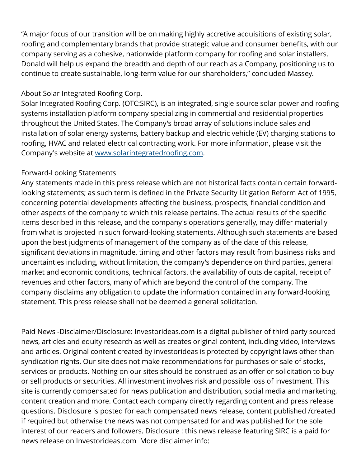"A major focus of our transition will be on making highly accretive acquisitions of existing solar, roofing and complementary brands that provide strategic value and consumer benefits, with our company serving as a cohesive, nationwide platform company for roofing and solar installers. Donald will help us expand the breadth and depth of our reach as a Company, positioning us to continue to create sustainable, long-term value for our shareholders," concluded Massey.

## About Solar Integrated Roofing Corp.

Solar Integrated Roofing Corp. (OTC:SIRC), is an integrated, single-source solar power and roofing systems installation platform company specializing in commercial and residential properties throughout the United States. The Company's broad array of solutions include sales and installation of solar energy systems, battery backup and electric vehicle (EV) charging stations to roofing, HVAC and related electrical contracting work. For more information, please visit the Company's website at [www.solarintegratedroofing.com](http://www.solarintegratedroofing.com).

## Forward-Looking Statements

Any statements made in this press release which are not historical facts contain certain forwardlooking statements; as such term is defined in the Private Security Litigation Reform Act of 1995, concerning potential developments affecting the business, prospects, financial condition and other aspects of the company to which this release pertains. The actual results of the specific items described in this release, and the company's operations generally, may differ materially from what is projected in such forward-looking statements. Although such statements are based upon the best judgments of management of the company as of the date of this release, significant deviations in magnitude, timing and other factors may result from business risks and uncertainties including, without limitation, the company's dependence on third parties, general market and economic conditions, technical factors, the availability of outside capital, receipt of revenues and other factors, many of which are beyond the control of the company. The company disclaims any obligation to update the information contained in any forward-looking statement. This press release shall not be deemed a general solicitation.

Paid News -Disclaimer/Disclosure: Investorideas.com is a digital publisher of third party sourced news, articles and equity research as well as creates original content, including video, interviews and articles. Original content created by investorideas is protected by copyright laws other than syndication rights. Our site does not make recommendations for purchases or sale of stocks, services or products. Nothing on our sites should be construed as an offer or solicitation to buy or sell products or securities. All investment involves risk and possible loss of investment. This site is currently compensated for news publication and distribution, social media and marketing, content creation and more. Contact each company directly regarding content and press release questions. Disclosure is posted for each compensated news release, content published /created if required but otherwise the news was not compensated for and was published for the sole interest of our readers and followers. Disclosure : this news release featuring SIRC is a paid for news release on Investorideas.com More disclaimer info: